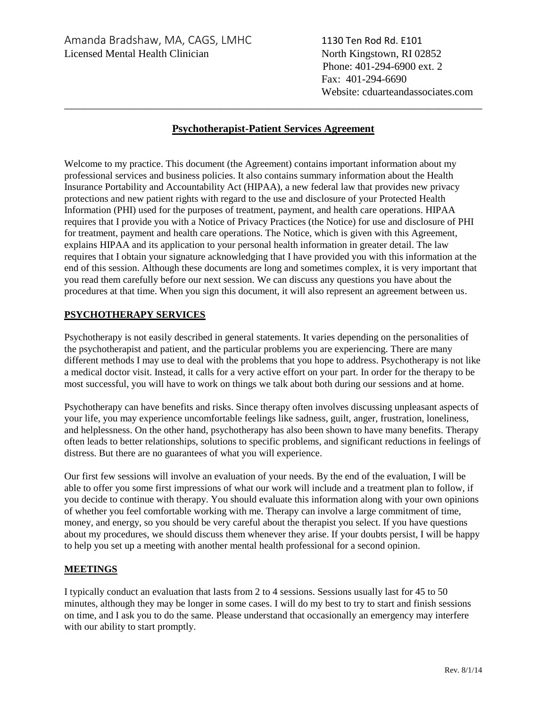Phone: 401-294-6900 ext. 2 Fax: 401-294-6690 Website: cduarteandassociates.com

# **Psychotherapist-Patient Services Agreement**

\_\_\_\_\_\_\_\_\_\_\_\_\_\_\_\_\_\_\_\_\_\_\_\_\_\_\_\_\_\_\_\_\_\_\_\_\_\_\_\_\_\_\_\_\_\_\_\_\_\_\_\_\_\_\_\_\_\_\_\_\_\_\_\_\_\_\_\_\_\_\_\_\_\_\_\_\_\_

Welcome to my practice. This document (the Agreement) contains important information about my professional services and business policies. It also contains summary information about the Health Insurance Portability and Accountability Act (HIPAA), a new federal law that provides new privacy protections and new patient rights with regard to the use and disclosure of your Protected Health Information (PHI) used for the purposes of treatment, payment, and health care operations. HIPAA requires that I provide you with a Notice of Privacy Practices (the Notice) for use and disclosure of PHI for treatment, payment and health care operations. The Notice, which is given with this Agreement, explains HIPAA and its application to your personal health information in greater detail. The law requires that I obtain your signature acknowledging that I have provided you with this information at the end of this session. Although these documents are long and sometimes complex, it is very important that you read them carefully before our next session. We can discuss any questions you have about the procedures at that time. When you sign this document, it will also represent an agreement between us.

## **PSYCHOTHERAPY SERVICES**

Psychotherapy is not easily described in general statements. It varies depending on the personalities of the psychotherapist and patient, and the particular problems you are experiencing. There are many different methods I may use to deal with the problems that you hope to address. Psychotherapy is not like a medical doctor visit. Instead, it calls for a very active effort on your part. In order for the therapy to be most successful, you will have to work on things we talk about both during our sessions and at home.

Psychotherapy can have benefits and risks. Since therapy often involves discussing unpleasant aspects of your life, you may experience uncomfortable feelings like sadness, guilt, anger, frustration, loneliness, and helplessness. On the other hand, psychotherapy has also been shown to have many benefits. Therapy often leads to better relationships, solutions to specific problems, and significant reductions in feelings of distress. But there are no guarantees of what you will experience.

Our first few sessions will involve an evaluation of your needs. By the end of the evaluation, I will be able to offer you some first impressions of what our work will include and a treatment plan to follow, if you decide to continue with therapy. You should evaluate this information along with your own opinions of whether you feel comfortable working with me. Therapy can involve a large commitment of time, money, and energy, so you should be very careful about the therapist you select. If you have questions about my procedures, we should discuss them whenever they arise. If your doubts persist, I will be happy to help you set up a meeting with another mental health professional for a second opinion.

#### **MEETINGS**

I typically conduct an evaluation that lasts from 2 to 4 sessions. Sessions usually last for 45 to 50 minutes, although they may be longer in some cases. I will do my best to try to start and finish sessions on time, and I ask you to do the same. Please understand that occasionally an emergency may interfere with our ability to start promptly.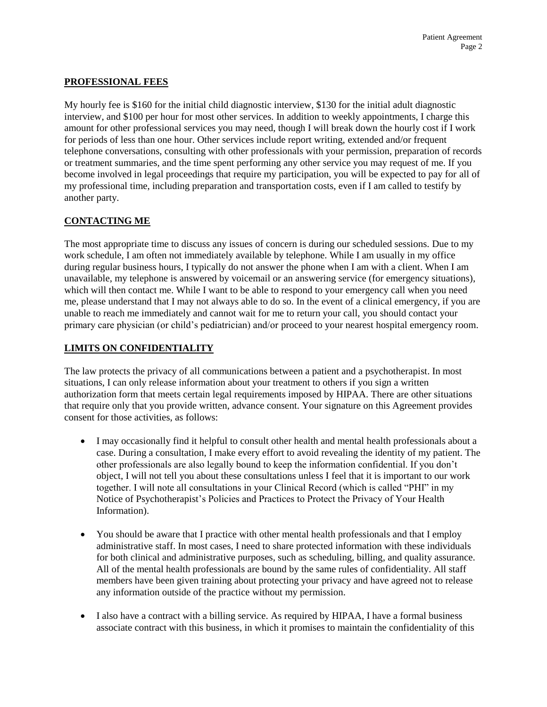## **PROFESSIONAL FEES**

My hourly fee is \$160 for the initial child diagnostic interview, \$130 for the initial adult diagnostic interview, and \$100 per hour for most other services. In addition to weekly appointments, I charge this amount for other professional services you may need, though I will break down the hourly cost if I work for periods of less than one hour. Other services include report writing, extended and/or frequent telephone conversations, consulting with other professionals with your permission, preparation of records or treatment summaries, and the time spent performing any other service you may request of me. If you become involved in legal proceedings that require my participation, you will be expected to pay for all of my professional time, including preparation and transportation costs, even if I am called to testify by another party.

# **CONTACTING ME**

The most appropriate time to discuss any issues of concern is during our scheduled sessions. Due to my work schedule, I am often not immediately available by telephone. While I am usually in my office during regular business hours, I typically do not answer the phone when I am with a client. When I am unavailable, my telephone is answered by voicemail or an answering service (for emergency situations), which will then contact me. While I want to be able to respond to your emergency call when you need me, please understand that I may not always able to do so. In the event of a clinical emergency, if you are unable to reach me immediately and cannot wait for me to return your call, you should contact your primary care physician (or child's pediatrician) and/or proceed to your nearest hospital emergency room.

## **LIMITS ON CONFIDENTIALITY**

The law protects the privacy of all communications between a patient and a psychotherapist. In most situations, I can only release information about your treatment to others if you sign a written authorization form that meets certain legal requirements imposed by HIPAA. There are other situations that require only that you provide written, advance consent. Your signature on this Agreement provides consent for those activities, as follows:

- I may occasionally find it helpful to consult other health and mental health professionals about a case. During a consultation, I make every effort to avoid revealing the identity of my patient. The other professionals are also legally bound to keep the information confidential. If you don't object, I will not tell you about these consultations unless I feel that it is important to our work together. I will note all consultations in your Clinical Record (which is called "PHI" in my Notice of Psychotherapist's Policies and Practices to Protect the Privacy of Your Health Information).
- You should be aware that I practice with other mental health professionals and that I employ administrative staff. In most cases, I need to share protected information with these individuals for both clinical and administrative purposes, such as scheduling, billing, and quality assurance. All of the mental health professionals are bound by the same rules of confidentiality. All staff members have been given training about protecting your privacy and have agreed not to release any information outside of the practice without my permission.
- I also have a contract with a billing service. As required by HIPAA, I have a formal business associate contract with this business, in which it promises to maintain the confidentiality of this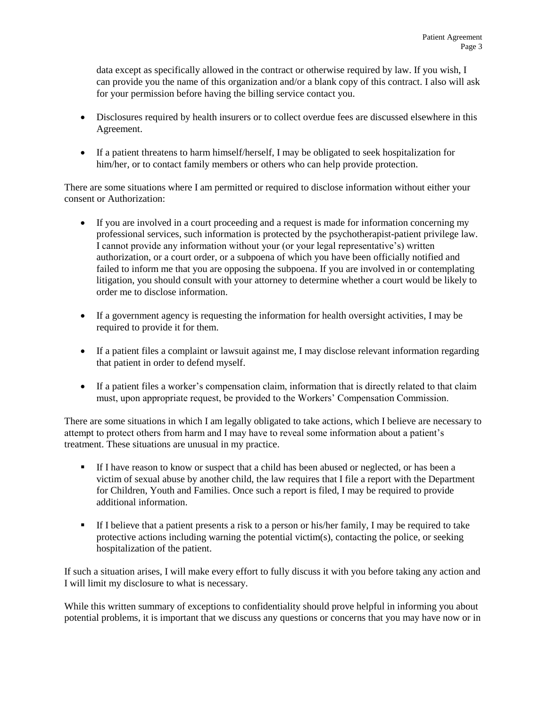data except as specifically allowed in the contract or otherwise required by law. If you wish, I can provide you the name of this organization and/or a blank copy of this contract. I also will ask for your permission before having the billing service contact you.

- Disclosures required by health insurers or to collect overdue fees are discussed elsewhere in this Agreement.
- If a patient threatens to harm himself/herself, I may be obligated to seek hospitalization for him/her, or to contact family members or others who can help provide protection.

There are some situations where I am permitted or required to disclose information without either your consent or Authorization:

- If you are involved in a court proceeding and a request is made for information concerning my professional services, such information is protected by the psychotherapist-patient privilege law. I cannot provide any information without your (or your legal representative's) written authorization, or a court order, or a subpoena of which you have been officially notified and failed to inform me that you are opposing the subpoena. If you are involved in or contemplating litigation, you should consult with your attorney to determine whether a court would be likely to order me to disclose information.
- If a government agency is requesting the information for health oversight activities, I may be required to provide it for them.
- If a patient files a complaint or lawsuit against me, I may disclose relevant information regarding that patient in order to defend myself.
- If a patient files a worker's compensation claim, information that is directly related to that claim must, upon appropriate request, be provided to the Workers' Compensation Commission.

There are some situations in which I am legally obligated to take actions, which I believe are necessary to attempt to protect others from harm and I may have to reveal some information about a patient's treatment. These situations are unusual in my practice.

- If I have reason to know or suspect that a child has been abused or neglected, or has been a victim of sexual abuse by another child, the law requires that I file a report with the Department for Children, Youth and Families. Once such a report is filed, I may be required to provide additional information.
- If I believe that a patient presents a risk to a person or his/her family, I may be required to take protective actions including warning the potential victim(s), contacting the police, or seeking hospitalization of the patient.

If such a situation arises, I will make every effort to fully discuss it with you before taking any action and I will limit my disclosure to what is necessary.

While this written summary of exceptions to confidentiality should prove helpful in informing you about potential problems, it is important that we discuss any questions or concerns that you may have now or in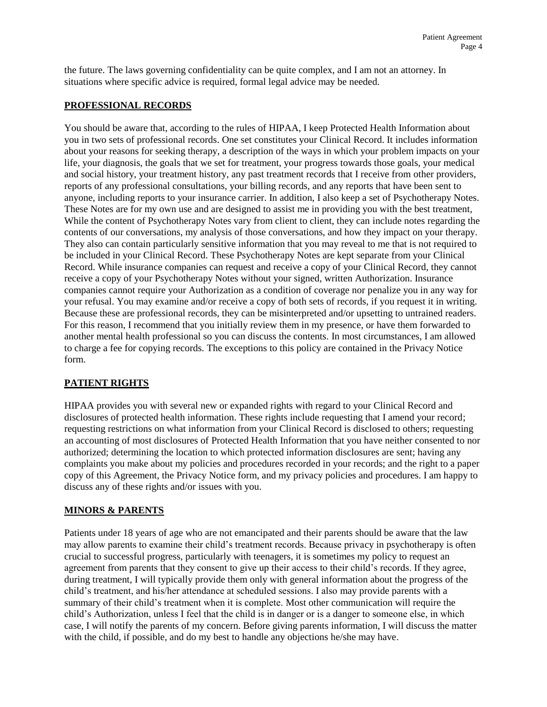the future. The laws governing confidentiality can be quite complex, and I am not an attorney. In situations where specific advice is required, formal legal advice may be needed.

### **PROFESSIONAL RECORDS**

You should be aware that, according to the rules of HIPAA, I keep Protected Health Information about you in two sets of professional records. One set constitutes your Clinical Record. It includes information about your reasons for seeking therapy, a description of the ways in which your problem impacts on your life, your diagnosis, the goals that we set for treatment, your progress towards those goals, your medical and social history, your treatment history, any past treatment records that I receive from other providers, reports of any professional consultations, your billing records, and any reports that have been sent to anyone, including reports to your insurance carrier. In addition, I also keep a set of Psychotherapy Notes. These Notes are for my own use and are designed to assist me in providing you with the best treatment, While the content of Psychotherapy Notes vary from client to client, they can include notes regarding the contents of our conversations, my analysis of those conversations, and how they impact on your therapy. They also can contain particularly sensitive information that you may reveal to me that is not required to be included in your Clinical Record. These Psychotherapy Notes are kept separate from your Clinical Record. While insurance companies can request and receive a copy of your Clinical Record, they cannot receive a copy of your Psychotherapy Notes without your signed, written Authorization. Insurance companies cannot require your Authorization as a condition of coverage nor penalize you in any way for your refusal. You may examine and/or receive a copy of both sets of records, if you request it in writing. Because these are professional records, they can be misinterpreted and/or upsetting to untrained readers. For this reason, I recommend that you initially review them in my presence, or have them forwarded to another mental health professional so you can discuss the contents. In most circumstances, I am allowed to charge a fee for copying records. The exceptions to this policy are contained in the Privacy Notice form.

# **PATIENT RIGHTS**

HIPAA provides you with several new or expanded rights with regard to your Clinical Record and disclosures of protected health information. These rights include requesting that I amend your record; requesting restrictions on what information from your Clinical Record is disclosed to others; requesting an accounting of most disclosures of Protected Health Information that you have neither consented to nor authorized; determining the location to which protected information disclosures are sent; having any complaints you make about my policies and procedures recorded in your records; and the right to a paper copy of this Agreement, the Privacy Notice form, and my privacy policies and procedures. I am happy to discuss any of these rights and/or issues with you.

## **MINORS & PARENTS**

Patients under 18 years of age who are not emancipated and their parents should be aware that the law may allow parents to examine their child's treatment records. Because privacy in psychotherapy is often crucial to successful progress, particularly with teenagers, it is sometimes my policy to request an agreement from parents that they consent to give up their access to their child's records. If they agree, during treatment, I will typically provide them only with general information about the progress of the child's treatment, and his/her attendance at scheduled sessions. I also may provide parents with a summary of their child's treatment when it is complete. Most other communication will require the child's Authorization, unless I feel that the child is in danger or is a danger to someone else, in which case, I will notify the parents of my concern. Before giving parents information, I will discuss the matter with the child, if possible, and do my best to handle any objections he/she may have.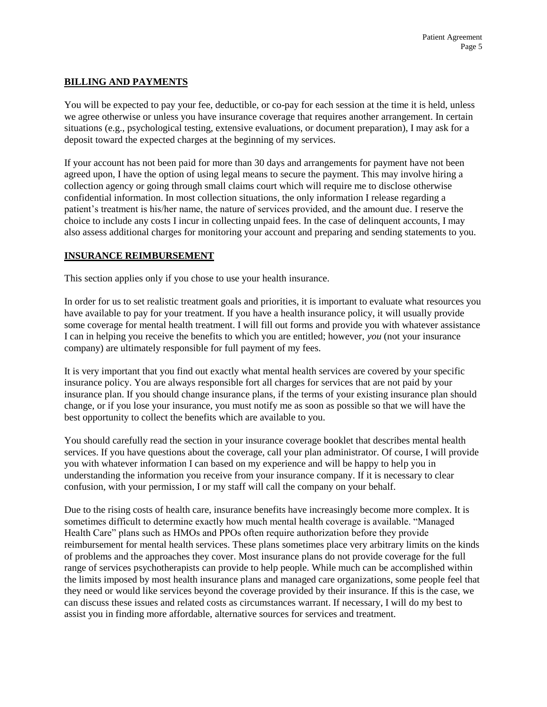### **BILLING AND PAYMENTS**

You will be expected to pay your fee, deductible, or co-pay for each session at the time it is held, unless we agree otherwise or unless you have insurance coverage that requires another arrangement. In certain situations (e.g., psychological testing, extensive evaluations, or document preparation), I may ask for a deposit toward the expected charges at the beginning of my services.

If your account has not been paid for more than 30 days and arrangements for payment have not been agreed upon, I have the option of using legal means to secure the payment. This may involve hiring a collection agency or going through small claims court which will require me to disclose otherwise confidential information. In most collection situations, the only information I release regarding a patient's treatment is his/her name, the nature of services provided, and the amount due. I reserve the choice to include any costs I incur in collecting unpaid fees. In the case of delinquent accounts, I may also assess additional charges for monitoring your account and preparing and sending statements to you.

#### **INSURANCE REIMBURSEMENT**

This section applies only if you chose to use your health insurance.

In order for us to set realistic treatment goals and priorities, it is important to evaluate what resources you have available to pay for your treatment. If you have a health insurance policy, it will usually provide some coverage for mental health treatment. I will fill out forms and provide you with whatever assistance I can in helping you receive the benefits to which you are entitled; however, *you* (not your insurance company) are ultimately responsible for full payment of my fees.

It is very important that you find out exactly what mental health services are covered by your specific insurance policy. You are always responsible fort all charges for services that are not paid by your insurance plan. If you should change insurance plans, if the terms of your existing insurance plan should change, or if you lose your insurance, you must notify me as soon as possible so that we will have the best opportunity to collect the benefits which are available to you.

You should carefully read the section in your insurance coverage booklet that describes mental health services. If you have questions about the coverage, call your plan administrator. Of course, I will provide you with whatever information I can based on my experience and will be happy to help you in understanding the information you receive from your insurance company. If it is necessary to clear confusion, with your permission, I or my staff will call the company on your behalf.

Due to the rising costs of health care, insurance benefits have increasingly become more complex. It is sometimes difficult to determine exactly how much mental health coverage is available. "Managed Health Care" plans such as HMOs and PPOs often require authorization before they provide reimbursement for mental health services. These plans sometimes place very arbitrary limits on the kinds of problems and the approaches they cover. Most insurance plans do not provide coverage for the full range of services psychotherapists can provide to help people. While much can be accomplished within the limits imposed by most health insurance plans and managed care organizations, some people feel that they need or would like services beyond the coverage provided by their insurance. If this is the case, we can discuss these issues and related costs as circumstances warrant. If necessary, I will do my best to assist you in finding more affordable, alternative sources for services and treatment.